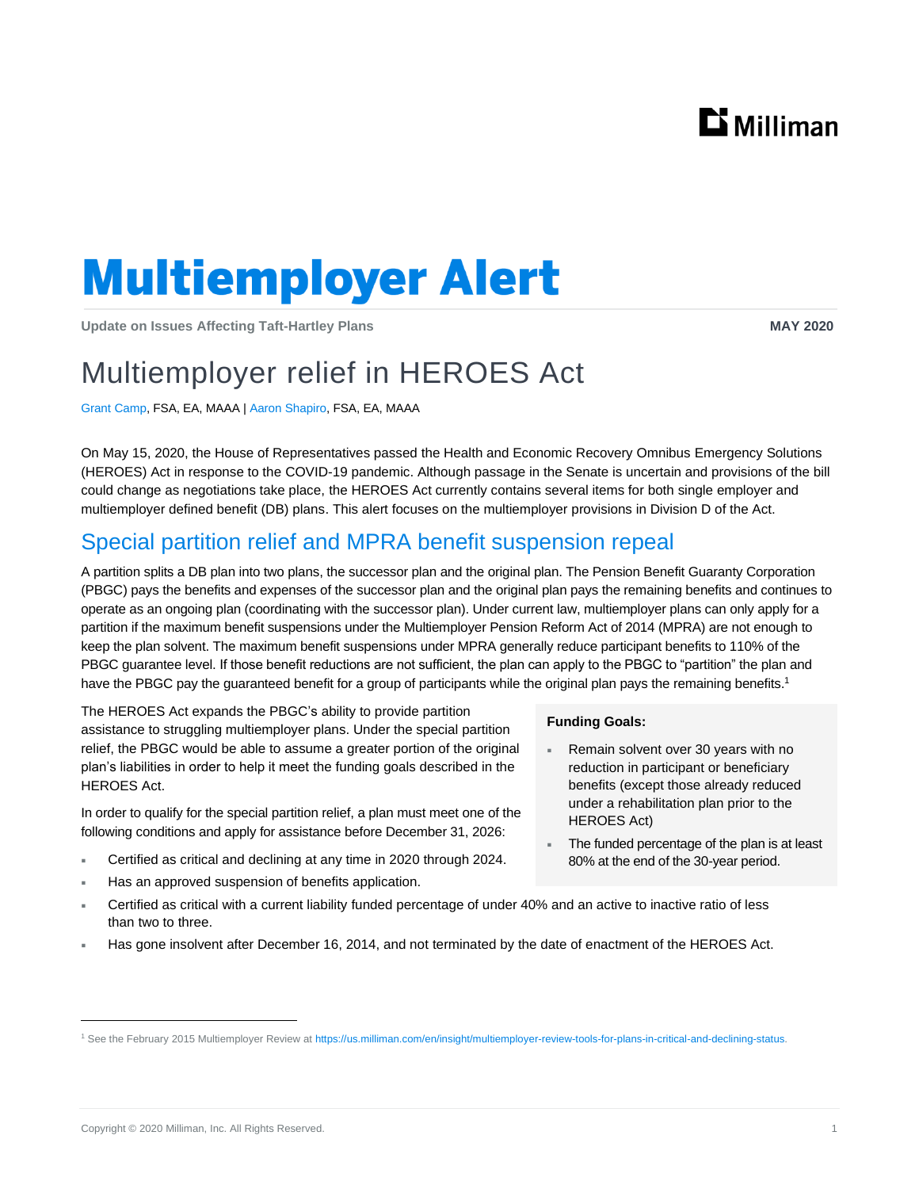# $\mathbf{D}$  Milliman

# **Multiemployer Alert**

**Update on Issues Affecting Taft-Hartley Plans MAY 2020**

## Multiemployer relief in HEROES Act

Grant Camp, FSA, EA, MAAA | Aaron Shapiro, FSA, EA, MAAA

On May 15, 2020, the House of Representatives passed the Health and Economic Recovery Omnibus Emergency Solutions (HEROES) Act in response to the COVID-19 pandemic. Although passage in the Senate is uncertain and provisions of the bill could change as negotiations take place, the HEROES Act currently contains several items for both single employer and multiemployer defined benefit (DB) plans. This alert focuses on the multiemployer provisions in Division D of the Act.

## Special partition relief and MPRA benefit suspension repeal

A partition splits a DB plan into two plans, the successor plan and the original plan. The Pension Benefit Guaranty Corporation (PBGC) pays the benefits and expenses of the successor plan and the original plan pays the remaining benefits and continues to operate as an ongoing plan (coordinating with the successor plan). Under current law, multiemployer plans can only apply for a partition if the maximum benefit suspensions under the Multiemployer Pension Reform Act of 2014 (MPRA) are not enough to keep the plan solvent. The maximum benefit suspensions under MPRA generally reduce participant benefits to 110% of the PBGC guarantee level. If those benefit reductions are not sufficient, the plan can apply to the PBGC to "partition" the plan and have the PBGC pay the guaranteed benefit for a group of participants while the original plan pays the remaining benefits.<sup>1</sup>

The HEROES Act expands the PBGC's ability to provide partition assistance to struggling multiemployer plans. Under the special partition relief, the PBGC would be able to assume a greater portion of the original plan's liabilities in order to help it meet the funding goals described in the HEROES Act.

In order to qualify for the special partition relief, a plan must meet one of the following conditions and apply for assistance before December 31, 2026:

- Certified as critical and declining at any time in 2020 through 2024.
- Has an approved suspension of benefits application.

## **Funding Goals:**

- Remain solvent over 30 years with no reduction in participant or beneficiary benefits (except those already reduced under a rehabilitation plan prior to the HEROES Act)
- The funded percentage of the plan is at least 80% at the end of the 30-year period.
- Certified as critical with a current liability funded percentage of under 40% and an active to inactive ratio of less than two to three.
- Has gone insolvent after December 16, 2014, and not terminated by the date of enactment of the HEROES Act.

<sup>1</sup> See the February 2015 Multiemployer Review a[t https://us.milliman.com/en/insight/multiemployer-review-tools-for-plans-in-critical-and-declining-status.](https://us.milliman.com/en/insight/multiemployer-review-tools-for-plans-in-critical-and-declining-status)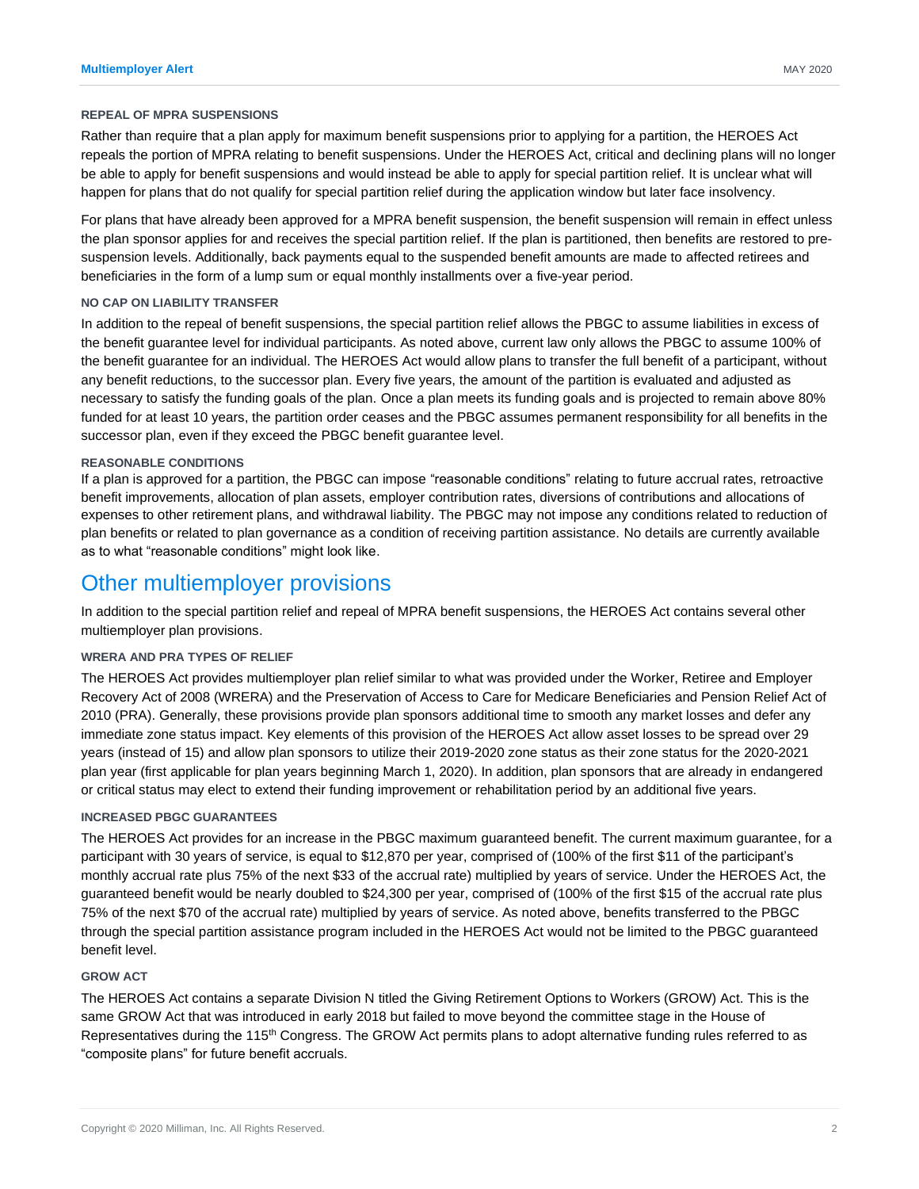#### **REPEAL OF MPRA SUSPENSIONS**

Rather than require that a plan apply for maximum benefit suspensions prior to applying for a partition, the HEROES Act repeals the portion of MPRA relating to benefit suspensions. Under the HEROES Act, critical and declining plans will no longer be able to apply for benefit suspensions and would instead be able to apply for special partition relief. It is unclear what will happen for plans that do not qualify for special partition relief during the application window but later face insolvency.

For plans that have already been approved for a MPRA benefit suspension, the benefit suspension will remain in effect unless the plan sponsor applies for and receives the special partition relief. If the plan is partitioned, then benefits are restored to presuspension levels. Additionally, back payments equal to the suspended benefit amounts are made to affected retirees and beneficiaries in the form of a lump sum or equal monthly installments over a five-year period.

## **NO CAP ON LIABILITY TRANSFER**

In addition to the repeal of benefit suspensions, the special partition relief allows the PBGC to assume liabilities in excess of the benefit guarantee level for individual participants. As noted above, current law only allows the PBGC to assume 100% of the benefit guarantee for an individual. The HEROES Act would allow plans to transfer the full benefit of a participant, without any benefit reductions, to the successor plan. Every five years, the amount of the partition is evaluated and adjusted as necessary to satisfy the funding goals of the plan. Once a plan meets its funding goals and is projected to remain above 80% funded for at least 10 years, the partition order ceases and the PBGC assumes permanent responsibility for all benefits in the successor plan, even if they exceed the PBGC benefit guarantee level.

## **REASONABLE CONDITIONS**

If a plan is approved for a partition, the PBGC can impose "reasonable conditions" relating to future accrual rates, retroactive benefit improvements, allocation of plan assets, employer contribution rates, diversions of contributions and allocations of expenses to other retirement plans, and withdrawal liability. The PBGC may not impose any conditions related to reduction of plan benefits or related to plan governance as a condition of receiving partition assistance. No details are currently available as to what "reasonable conditions" might look like.

## Other multiemployer provisions

In addition to the special partition relief and repeal of MPRA benefit suspensions, the HEROES Act contains several other multiemployer plan provisions.

## **WRERA AND PRA TYPES OF RELIEF**

The HEROES Act provides multiemployer plan relief similar to what was provided under the Worker, Retiree and Employer Recovery Act of 2008 (WRERA) and the Preservation of Access to Care for Medicare Beneficiaries and Pension Relief Act of 2010 (PRA). Generally, these provisions provide plan sponsors additional time to smooth any market losses and defer any immediate zone status impact. Key elements of this provision of the HEROES Act allow asset losses to be spread over 29 years (instead of 15) and allow plan sponsors to utilize their 2019-2020 zone status as their zone status for the 2020-2021 plan year (first applicable for plan years beginning March 1, 2020). In addition, plan sponsors that are already in endangered or critical status may elect to extend their funding improvement or rehabilitation period by an additional five years.

## **INCREASED PBGC GUARANTEES**

The HEROES Act provides for an increase in the PBGC maximum guaranteed benefit. The current maximum guarantee, for a participant with 30 years of service, is equal to \$12,870 per year, comprised of (100% of the first \$11 of the participant's monthly accrual rate plus 75% of the next \$33 of the accrual rate) multiplied by years of service. Under the HEROES Act, the guaranteed benefit would be nearly doubled to \$24,300 per year, comprised of (100% of the first \$15 of the accrual rate plus 75% of the next \$70 of the accrual rate) multiplied by years of service. As noted above, benefits transferred to the PBGC through the special partition assistance program included in the HEROES Act would not be limited to the PBGC guaranteed benefit level.

## **GROW ACT**

The HEROES Act contains a separate Division N titled the Giving Retirement Options to Workers (GROW) Act. This is the same GROW Act that was introduced in early 2018 but failed to move beyond the committee stage in the House of Representatives during the 115<sup>th</sup> Congress. The GROW Act permits plans to adopt alternative funding rules referred to as "composite plans" for future benefit accruals.